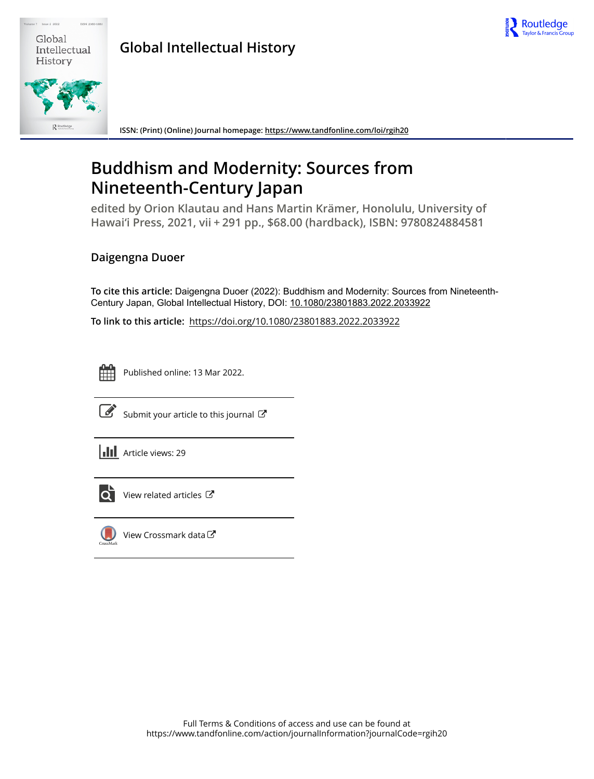

| Global       |  |
|--------------|--|
| Intellectual |  |
| History      |  |

**Global Intellectual History**

**ISSN: (Print) (Online) Journal homepage:<https://www.tandfonline.com/loi/rgih20>**

## **Buddhism and Modernity: Sources from Nineteenth-Century Japan**

**edited by Orion Klautau and Hans Martin Krämer, Honolulu, University of Hawai'i Press, 2021, vii + 291 pp., \$68.00 (hardback), ISBN: 9780824884581**

## **Daigengna Duoer**

**To cite this article:** Daigengna Duoer (2022): Buddhism and Modernity: Sources from Nineteenth-Century Japan, Global Intellectual History, DOI: [10.1080/23801883.2022.2033922](https://www.tandfonline.com/action/showCitFormats?doi=10.1080/23801883.2022.2033922)

**To link to this article:** <https://doi.org/10.1080/23801883.2022.2033922>



Published online: 13 Mar 2022.



 $\overline{\mathscr{L}}$  [Submit your article to this journal](https://www.tandfonline.com/action/authorSubmission?journalCode=rgih20&show=instructions)  $\mathbb{Z}$ 



lO l

[View related articles](https://www.tandfonline.com/doi/mlt/10.1080/23801883.2022.2033922)  $\mathbb{Z}$ 



[View Crossmark data](http://crossmark.crossref.org/dialog/?doi=10.1080/23801883.2022.2033922&domain=pdf&date_stamp=2022-03-13)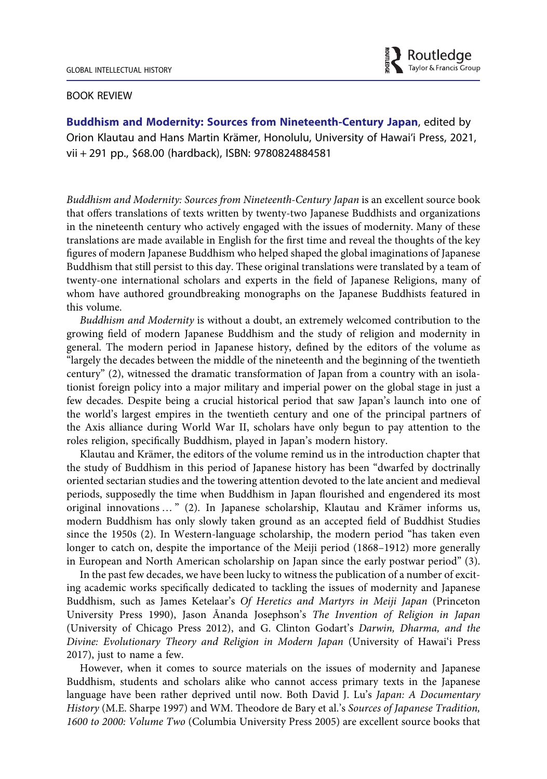

## BOOK REVIEW

Buddhism and Modernity: Sources from Nineteenth-Century Japan, edited by Orion Klautau and Hans Martin Krämer, Honolulu, University of Hawai'i Press, 2021, vii + 291 pp., \$68.00 (hardback), ISBN: 9780824884581

Buddhism and Modernity: Sources from Nineteenth-Century Japan is an excellent source book that offers translations of texts written by twenty-two Japanese Buddhists and organizations in the nineteenth century who actively engaged with the issues of modernity. Many of these translations are made available in English for the first time and reveal the thoughts of the key figures of modern Japanese Buddhism who helped shaped the global imaginations of Japanese Buddhism that still persist to this day. These original translations were translated by a team of twenty-one international scholars and experts in the field of Japanese Religions, many of whom have authored groundbreaking monographs on the Japanese Buddhists featured in this volume.

Buddhism and Modernity is without a doubt, an extremely welcomed contribution to the growing field of modern Japanese Buddhism and the study of religion and modernity in general. The modern period in Japanese history, defined by the editors of the volume as "largely the decades between the middle of the nineteenth and the beginning of the twentieth century" (2), witnessed the dramatic transformation of Japan from a country with an isolationist foreign policy into a major military and imperial power on the global stage in just a few decades. Despite being a crucial historical period that saw Japan's launch into one of the world's largest empires in the twentieth century and one of the principal partners of the Axis alliance during World War II, scholars have only begun to pay attention to the roles religion, specifically Buddhism, played in Japan's modern history.

Klautau and Krämer, the editors of the volume remind us in the introduction chapter that the study of Buddhism in this period of Japanese history has been "dwarfed by doctrinally oriented sectarian studies and the towering attention devoted to the late ancient and medieval periods, supposedly the time when Buddhism in Japan flourished and engendered its most original innovations … " (2). In Japanese scholarship, Klautau and Krämer informs us, modern Buddhism has only slowly taken ground as an accepted field of Buddhist Studies since the 1950s (2). In Western-language scholarship, the modern period "has taken even longer to catch on, despite the importance of the Meiji period (1868–1912) more generally in European and North American scholarship on Japan since the early postwar period" (3).

In the past few decades, we have been lucky to witness the publication of a number of exciting academic works specifically dedicated to tackling the issues of modernity and Japanese Buddhism, such as James Ketelaar's Of Heretics and Martyrs in Meiji Japan (Princeton University Press 1990), Jason Ānanda Josephson's The Invention of Religion in Japan (University of Chicago Press 2012), and G. Clinton Godart's Darwin, Dharma, and the Divine: Evolutionary Theory and Religion in Modern Japan (University of Hawai'i Press 2017), just to name a few.

However, when it comes to source materials on the issues of modernity and Japanese Buddhism, students and scholars alike who cannot access primary texts in the Japanese language have been rather deprived until now. Both David J. Lu's Japan: A Documentary History (M.E. Sharpe 1997) and WM. Theodore de Bary et al.'s Sources of Japanese Tradition, 1600 to 2000: Volume Two (Columbia University Press 2005) are excellent source books that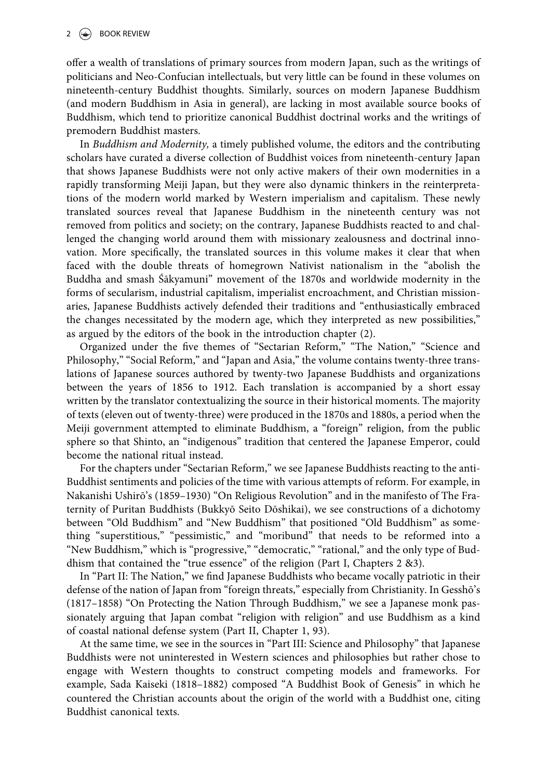offer a wealth of translations of primary sources from modern Japan, such as the writings of politicians and Neo-Confucian intellectuals, but very little can be found in these volumes on nineteenth-century Buddhist thoughts. Similarly, sources on modern Japanese Buddhism (and modern Buddhism in Asia in general), are lacking in most available source books of Buddhism, which tend to prioritize canonical Buddhist doctrinal works and the writings of premodern Buddhist masters.

In Buddhism and Modernity, a timely published volume, the editors and the contributing scholars have curated a diverse collection of Buddhist voices from nineteenth-century Japan that shows Japanese Buddhists were not only active makers of their own modernities in a rapidly transforming Meiji Japan, but they were also dynamic thinkers in the reinterpretations of the modern world marked by Western imperialism and capitalism. These newly translated sources reveal that Japanese Buddhism in the nineteenth century was not removed from politics and society; on the contrary, Japanese Buddhists reacted to and challenged the changing world around them with missionary zealousness and doctrinal innovation. More specifically, the translated sources in this volume makes it clear that when faced with the double threats of homegrown Nativist nationalism in the "abolish the Buddha and smash Śākyamuni" movement of the 1870s and worldwide modernity in the forms of secularism, industrial capitalism, imperialist encroachment, and Christian missionaries, Japanese Buddhists actively defended their traditions and "enthusiastically embraced the changes necessitated by the modern age, which they interpreted as new possibilities," as argued by the editors of the book in the introduction chapter (2).

Organized under the five themes of "Sectarian Reform," "The Nation," "Science and Philosophy," "Social Reform," and "Japan and Asia," the volume contains twenty-three translations of Japanese sources authored by twenty-two Japanese Buddhists and organizations between the years of 1856 to 1912. Each translation is accompanied by a short essay written by the translator contextualizing the source in their historical moments. The majority of texts (eleven out of twenty-three) were produced in the 1870s and 1880s, a period when the Meiji government attempted to eliminate Buddhism, a "foreign" religion, from the public sphere so that Shinto, an "indigenous" tradition that centered the Japanese Emperor, could become the national ritual instead.

For the chapters under "Sectarian Reform," we see Japanese Buddhists reacting to the anti-Buddhist sentiments and policies of the time with various attempts of reform. For example, in Nakanishi Ushirō's (1859–1930) "On Religious Revolution" and in the manifesto of The Fraternity of Puritan Buddhists (Bukkyō Seito Dōshikai), we see constructions of a dichotomy between "Old Buddhism" and "New Buddhism" that positioned "Old Buddhism" as something "superstitious," "pessimistic," and "moribund" that needs to be reformed into a "New Buddhism," which is "progressive," "democratic," "rational," and the only type of Buddhism that contained the "true essence" of the religion (Part I, Chapters 2 &3).

In "Part II: The Nation," we find Japanese Buddhists who became vocally patriotic in their defense of the nation of Japan from "foreign threats," especially from Christianity. In Gesshō's (1817–1858) "On Protecting the Nation Through Buddhism," we see a Japanese monk passionately arguing that Japan combat "religion with religion" and use Buddhism as a kind of coastal national defense system (Part II, Chapter 1, 93).

At the same time, we see in the sources in "Part III: Science and Philosophy" that Japanese Buddhists were not uninterested in Western sciences and philosophies but rather chose to engage with Western thoughts to construct competing models and frameworks. For example, Sada Kaiseki (1818–1882) composed "A Buddhist Book of Genesis" in which he countered the Christian accounts about the origin of the world with a Buddhist one, citing Buddhist canonical texts.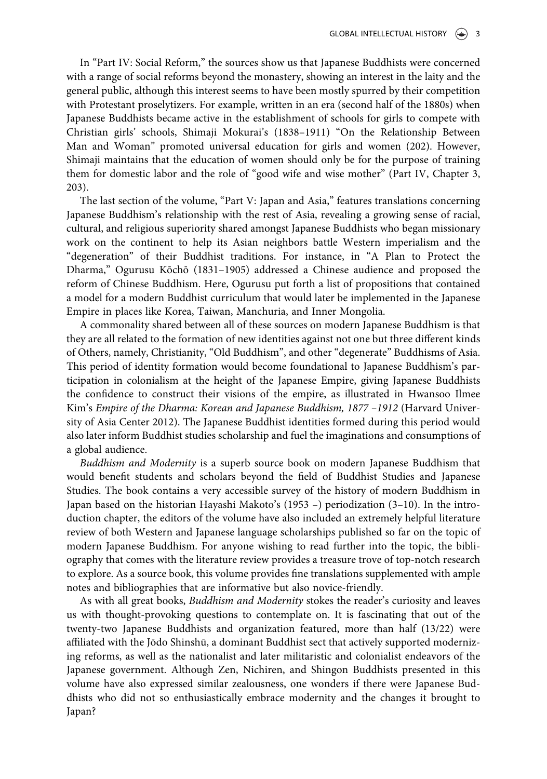In "Part IV: Social Reform," the sources show us that Japanese Buddhists were concerned with a range of social reforms beyond the monastery, showing an interest in the laity and the general public, although this interest seems to have been mostly spurred by their competition with Protestant proselytizers. For example, written in an era (second half of the 1880s) when Japanese Buddhists became active in the establishment of schools for girls to compete with Christian girls' schools, Shimaji Mokurai's (1838–1911) "On the Relationship Between Man and Woman" promoted universal education for girls and women (202). However, Shimaji maintains that the education of women should only be for the purpose of training them for domestic labor and the role of "good wife and wise mother" (Part IV, Chapter 3, 203).

The last section of the volume, "Part V: Japan and Asia," features translations concerning Japanese Buddhism's relationship with the rest of Asia, revealing a growing sense of racial, cultural, and religious superiority shared amongst Japanese Buddhists who began missionary work on the continent to help its Asian neighbors battle Western imperialism and the "degeneration" of their Buddhist traditions. For instance, in "A Plan to Protect the Dharma," Ogurusu Kōchō (1831–1905) addressed a Chinese audience and proposed the reform of Chinese Buddhism. Here, Ogurusu put forth a list of propositions that contained a model for a modern Buddhist curriculum that would later be implemented in the Japanese Empire in places like Korea, Taiwan, Manchuria, and Inner Mongolia.

A commonality shared between all of these sources on modern Japanese Buddhism is that they are all related to the formation of new identities against not one but three different kinds of Others, namely, Christianity, "Old Buddhism", and other "degenerate" Buddhisms of Asia. This period of identity formation would become foundational to Japanese Buddhism's participation in colonialism at the height of the Japanese Empire, giving Japanese Buddhists the confidence to construct their visions of the empire, as illustrated in Hwansoo Ilmee Kim's Empire of the Dharma: Korean and Japanese Buddhism, 1877 –1912 (Harvard University of Asia Center 2012). The Japanese Buddhist identities formed during this period would also later inform Buddhist studies scholarship and fuel the imaginations and consumptions of a global audience.

Buddhism and Modernity is a superb source book on modern Japanese Buddhism that would benefit students and scholars beyond the field of Buddhist Studies and Japanese Studies. The book contains a very accessible survey of the history of modern Buddhism in Japan based on the historian Hayashi Makoto's (1953 –) periodization (3–10). In the introduction chapter, the editors of the volume have also included an extremely helpful literature review of both Western and Japanese language scholarships published so far on the topic of modern Japanese Buddhism. For anyone wishing to read further into the topic, the bibliography that comes with the literature review provides a treasure trove of top-notch research to explore. As a source book, this volume provides fine translations supplemented with ample notes and bibliographies that are informative but also novice-friendly.

As with all great books, Buddhism and Modernity stokes the reader's curiosity and leaves us with thought-provoking questions to contemplate on. It is fascinating that out of the twenty-two Japanese Buddhists and organization featured, more than half (13/22) were affiliated with the Jōdo Shinshū, a dominant Buddhist sect that actively supported modernizing reforms, as well as the nationalist and later militaristic and colonialist endeavors of the Japanese government. Although Zen, Nichiren, and Shingon Buddhists presented in this volume have also expressed similar zealousness, one wonders if there were Japanese Buddhists who did not so enthusiastically embrace modernity and the changes it brought to Japan?